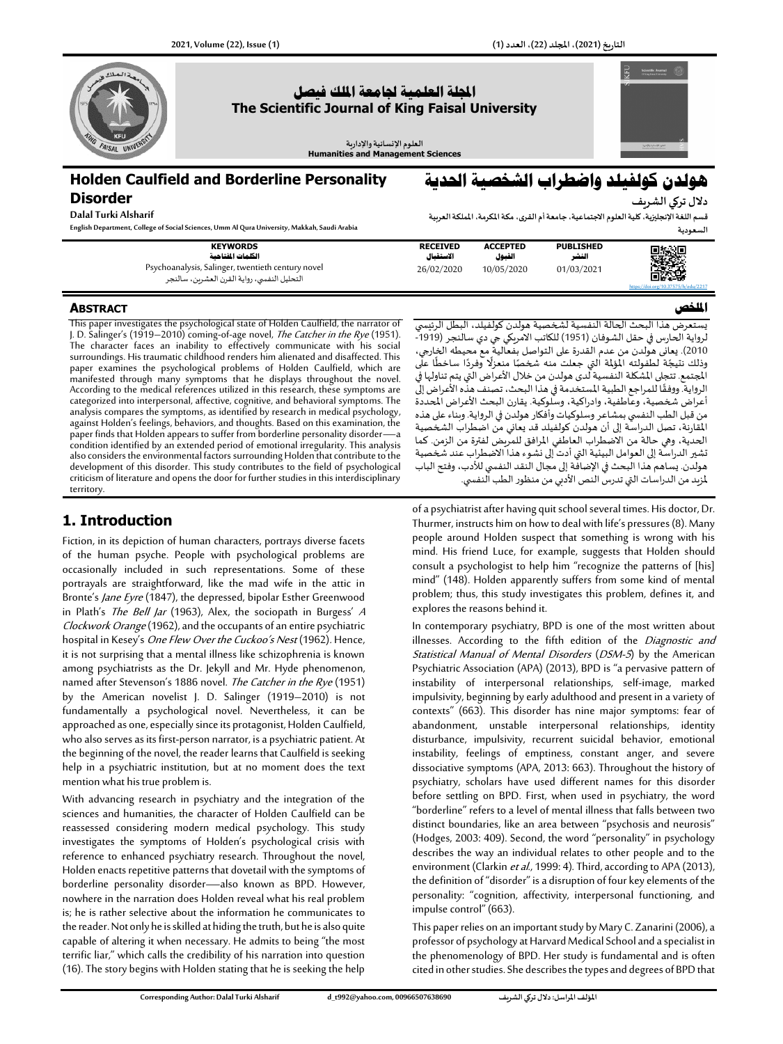

# **Holden Caulfield and Borderline Personality Disorder**

**Dalal Turki Alsharif**

**English Department, College of Social Sciences, Umm Al Qura University, Makkah, Saudi Arabia**

**KEYWORDS الكلمات املفتاحية** Psychoanalysis, Salinger, twentieth ce التحليل النفس ي،روايةالقرن العشرين، سالنجر

# **هولدن كولفيلد واضطراب الشخصية احلدية**

**دالل تركي الشريف قسم اللغةاإلنجليزية،كليةالعلوم االجتماعية، جامعةأم القرى، مكة املكرمة، اململكة العربية** 

|   | السعوديه  |
|---|-----------|
| D | 95 O<br>. |

**امللخص** 

| ntury novel<br>التحليل | <b>RECEIVED</b><br>الاستقعال<br>26/02/2020 | <b>ACCEPTED</b><br>القبول<br>10/05/2020 | <b>PUBLISHED</b><br>النشر<br>01/03/2021 | 興域県<br>bî∴¢                         |
|------------------------|--------------------------------------------|-----------------------------------------|-----------------------------------------|-------------------------------------|
|                        |                                            |                                         |                                         | https://doi.org/10.37575/h/edu/2217 |

#### **ABSTRACT**

This paper investigates the psychological state of Holden Caulfield, the narrator of I. D. Salinger's (1919–2010) coming-of-age novel, The Catcher in the Rye (1951). The character faces an inability to effectively communicate with his social surroundings. His traumatic childhood renders him alienated and disaffected. This paper examines the psychological problems of Holden Caulfield, which are manifested through many symptoms that he displays throughout the novel. According to the medical references utilized in this research, these symptoms are categorized into interpersonal, affective, cognitive, and behavioral symptoms. The analysis compares the symptoms, as identified by research in medical psychology, against Holden's feelings, behaviors, and thoughts. Based on this examination, the paper finds that Holden appears to suffer from borderline personality disorder—a condition identified by an extended period of emotional irregularity. This analysis also considers the environmental factors surrounding Holden that contribute to the development of this disorder. This study contributes to the field of psychological criticism of literature and opens the door for further studies in this interdisciplinary territory.

## **1. Introduction**

Fiction, in its depiction of human characters, portrays diverse facets of the human psyche. People with psychological problems are occasionally included in such representations. Some of these portrayals are straightforward, like the mad wife in the attic in Bronte's Jane Eyre (1847), the depressed, bipolar Esther Greenwood in Plath's The Bell Jar (1963), Alex, the sociopath in Burgess'  $A$ Clockwork Orange(1962), and the occupants of an entire psychiatric hospital in Kesey's One Flew Over the Cuckoo's Nest (1962). Hence, it is not surprising that a mental illness like schizophrenia is known among psychiatrists as the Dr. Jekyll and Mr. Hyde phenomenon, named after Stevenson's 1886 novel. The Catcher in the Rye (1951) by the American novelist J. D. Salinger (1919–2010) is not fundamentally a psychological novel. Nevertheless, it can be approached as one, especially since its protagonist, Holden Caulfield, who also serves as its first-person narrator, is a psychiatric patient. At the beginning of the novel, the reader learns that Caulfield is seeking help in a psychiatric institution, but at no moment does the text mention what his true problem is.

With advancing research in psychiatry and the integration of the sciences and humanities, the character of Holden Caulfield can be reassessed considering modern medical psychology. This study investigates the symptoms of Holden's psychological crisis with reference to enhanced psychiatry research. Throughout the novel, Holden enacts repetitive patterns that dovetail with the symptoms of borderline personality disorder—also known as BPD. However, nowhere in the narration does Holden reveal what his real problem is; he is rather selective about the information he communicates to the reader. Not only he is skilled at hiding the truth, but he is also quite capable of altering it when necessary. He admits to being "the most terrific liar," which calls the credibility of his narration into question (16).The story begins with Holden stating that he is seeking the help يستعرض هذا البحث الحالة النفسية لشخصية هولدن كولفيلد ، البطل الرئيس ي لرواية الحارس في حقل الشوفان (1951) للكاتب الامريكي جي دي سالنجر (1919-ً 2010(. يعانى هولدن من عدم القدرة على التواصل بفعالية مع محيطه الخارجي، 2010). يعاني سوندن من عدم الصررة على التواطئ بسعائية مع معيشة الصاربي.<br>وذلك نتيجًة لطفولته المؤلمة التي جعلت منه شخصًا منعزلًا وفردًا ساخطًا على ا<br>أ ً ً املجتمع. تتجلى املشكلة النفسية لدى هولدن من خالل األعراض التي يتم تناولها في الرواية. ووفقًا للمراجع الطبية المستخدمة في هذا البحث، تصنف هذه الأُعراض إلى ֧֪֖֧֪֖֪֪֪֪֪֦֧֧֧֧֧֧֧֧֧֧֧֧֧֧֚֝֝֝֝֝֞֞֟֓֝֝֝֝֬֝֬֝֓֞֟֓֝֓֝֬֝֓֝֬֝֓֝<br>֧֧֧֧֧֧֧֧֪֧֪֧֪֚֝֩֞֝֓֝֬֝֬֝֬֝֬֝֬֝֬֝ أعراض شخصية، وعاطفية، وادراكية، وسلوكية. يقارن البحث األعراض املحددة من قبل الطب النفسي بمشاعر وسلوكيات وأفكار هولدن في الرواية. وبناء على هذه املقارنة، تصل الدراسة إلى أن هولدن كولفيلد قد يعاني من اضطراب الشخصية الحدية، وهي حالة من االضطراب العاطفي املرافق للمريض لفترة من الزمن. كما تشير الدراسة إلى العوامل البيئية التي أدت إلى نشوء هذا الاضطراب عند شخصية هولدن. يساهم هذا البحث في اإلضافة إلى مجال النقد النفس ي لألدب، وفتح الباب لمزيد من الدراسات التي تدرس النص الأدبي من منظور الطب النفسي.

of a psychiatrist after having quit school several times. His doctor, Dr. Thurmer, instructs him on how to deal with life's pressures (8). Many people around Holden suspect that something is wrong with his mind. His friend Luce, for example, suggests that Holden should consult a psychologist to help him "recognize the patterns of [his] mind" (148). Holden apparently suffers from some kind of mental problem; thus, this study investigates this problem, defines it, and explores the reasons behind it.

In contemporary psychiatry, BPD is one of the most written about illnesses. According to the fifth edition of the Diagnostic and Statistical Manual of Mental Disorders (DSM-5) by the American Psychiatric Association (APA) (2013), BPD is "a pervasive pattern of instability of interpersonal relationships, self-image, marked impulsivity, beginning by early adulthood and present in a variety of contexts" (663). This disorder has nine major symptoms: fear of abandonment, unstable interpersonal relationships, identity disturbance, impulsivity, recurrent suicidal behavior, emotional instability, feelings of emptiness, constant anger, and severe dissociative symptoms (APA, 2013: 663). Throughout the history of psychiatry, scholars have used different names for this disorder before settling on BPD. First, when used in psychiatry, the word "borderline" refers to a level of mental illness that falls between two distinct boundaries, like an area between "psychosis and neurosis" (Hodges, 2003: 409). Second, the word "personality" in psychology describes the way an individual relates to other people and to the environment (Clarkin et al., 1999: 4). Third, according to APA (2013), the definition of "disorder" is a disruption of four key elements of the personality: "cognition, affectivity, interpersonal functioning, and impulse control" (663).

This paper relies on an important study by Mary C. Zanarini (2006), a professor of psychology at Harvard Medical School and a specialist in the phenomenology of BPD. Her study is fundamental and is often cited in other studies. She describes the types and degrees of BPD that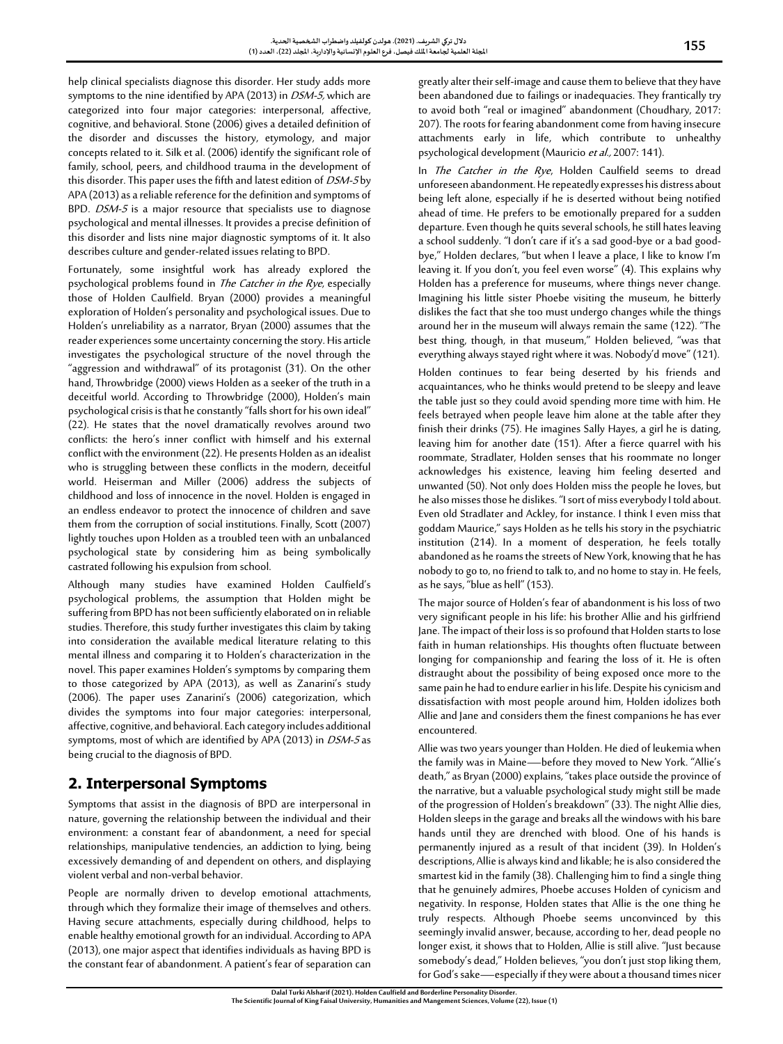help clinical specialists diagnose this disorder. Her study adds more symptoms to the nine identified by APA (2013) in *DSM-5*, which are categorized into four major categories: interpersonal, affective, cognitive, and behavioral. Stone (2006) gives a detailed definition of the disorder and discusses the history, etymology, and major concepts related to it. Silk et al. (2006) identify the significant role of family, school, peers, and childhood trauma in the development of this disorder. This paper uses the fifth and latest edition of DSM-5 by APA (2013) as a reliable reference for the definition and symptoms of BPD. *DSM-5* is a major resource that specialists use to diagnose psychological and mental illnesses. It provides a precise definition of this disorder and lists nine major diagnostic symptoms of it. It also describes culture and gender-related issues relating to BPD.

Fortunately, some insightful work has already explored the psychological problems found in *The Catcher in the Rye*, especially those of Holden Caulfield. Bryan (2000) provides a meaningful exploration of Holden's personality and psychological issues. Due to Holden's unreliability as a narrator, Bryan (2000) assumes that the reader experiences some uncertainty concerning the story. His article investigates the psychological structure of the novel through the "aggression and withdrawal" of its protagonist (31). On the other hand, Throwbridge (2000) views Holden as a seeker of the truth in a deceitful world. According to Throwbridge (2000), Holden's main psychological crisis is that he constantly "falls short for his own ideal" (22). He states that the novel dramatically revolves around two conflicts: the hero's inner conflict with himself and his external conflict with the environment (22). He presents Holden as an idealist who is struggling between these conflicts in the modern, deceitful world. Heiserman and Miller (2006) address the subjects of childhood and loss of innocence in the novel. Holden is engaged in an endless endeavor to protect the innocence of children and save them from the corruption of social institutions. Finally, Scott (2007) lightly touches upon Holden as a troubled teen with an unbalanced psychological state by considering him as being symbolically castrated following his expulsion from school.

Although many studies have examined Holden Caulfield's psychological problems, the assumption that Holden might be suffering from BPD has not been sufficiently elaborated on in reliable studies. Therefore, this study further investigates this claim by taking into consideration the available medical literature relating to this mental illness and comparing it to Holden's characterization in the novel. This paper examines Holden's symptoms by comparing them to those categorized by APA (2013), as well as Zanarini's study (2006). The paper uses Zanarini's (2006) categorization, which divides the symptoms into four major categories: interpersonal, affective, cognitive, and behavioral. Each category includes additional symptoms, most of which are identified by APA (2013) in DSM-5 as being crucial to the diagnosis of BPD.

# **2. Interpersonal Symptoms**

Symptoms that assist in the diagnosis of BPD are interpersonal in nature, governing the relationship between the individual and their environment: a constant fear of abandonment, a need for special relationships, manipulative tendencies, an addiction to lying, being excessively demanding of and dependent on others, and displaying violent verbal and non-verbal behavior.

People are normally driven to develop emotional attachments, through which they formalize their image of themselves and others. Having secure attachments, especially during childhood, helps to enable healthy emotional growth for an individual. According to APA (2013), one major aspect that identifies individuals as having BPD is the constant fear of abandonment. A patient's fear of separation can greatly alter their self-image and cause them to believe that they have been abandoned due to failings or inadequacies. They frantically try to avoid both "real or imagined" abandonment (Choudhary, 2017: 207). The roots for fearing abandonment come from having insecure attachments early in life, which contribute to unhealthy psychological development (Mauricio et al., 2007: 141).

In The Catcher in the Rye, Holden Caulfield seems to dread unforeseen abandonment. He repeatedly expresses his distress about being left alone, especially if he is deserted without being notified ahead of time. He prefers to be emotionally prepared for a sudden departure. Even though he quits several schools, he still hates leaving a school suddenly. "I don't care if it's a sad good-bye or a bad goodbye," Holden declares, "but when I leave a place, I like to know I'm leaving it. If you don't, you feel even worse" (4). This explains why Holden has a preference for museums, where things never change. Imagining his little sister Phoebe visiting the museum, he bitterly dislikes the fact that she too must undergo changes while the things around her in the museum will always remain the same (122). "The best thing, though, in that museum," Holden believed, "was that everything always stayed right where it was. Nobody'd move" (121).

Holden continues to fear being deserted by his friends and acquaintances, who he thinks would pretend to be sleepy and leave the table just so they could avoid spending more time with him. He feels betrayed when people leave him alone at the table after they finish their drinks (75). He imagines Sally Hayes, a girl he is dating, leaving him for another date (151). After a fierce quarrel with his roommate, Stradlater, Holden senses that his roommate no longer acknowledges his existence, leaving him feeling deserted and unwanted (50). Not only does Holden miss the people he loves, but healso misses those he dislikes. "I sort of miss everybody I told about. Even old Stradlater and Ackley, for instance. I think I even miss that goddam Maurice," says Holden as he tells his story in the psychiatric institution (214). In a moment of desperation, he feels totally abandoned as he roams the streets of New York, knowing that he has nobody to go to, no friend to talk to, and no home to stay in. He feels, as he says, "blue as hell" (153).

The major source of Holden's fear of abandonment is his loss of two very significant people in his life: his brother Allie and his girlfriend Jane. The impact of their loss is so profound that Holden starts to lose faith in human relationships. His thoughts often fluctuate between longing for companionship and fearing the loss of it. He is often distraught about the possibility of being exposed once more to the same pain he had to endure earlier in his life. Despite his cynicism and dissatisfaction with most people around him, Holden idolizes both Allie and Jane and considers them the finest companions he has ever encountered.

Allie was two years younger than Holden. He died of leukemia when the family was in Maine—before they moved to New York. "Allie's death," as Bryan (2000) explains, "takes place outside the province of the narrative, but a valuable psychological study might still be made of the progression of Holden's breakdown" (33). The night Allie dies, Holden sleeps in the garage and breaks all the windows with his bare hands until they are drenched with blood. One of his hands is permanently injured as a result of that incident (39). In Holden's descriptions, Allie is always kind and likable; he is also considered the smartest kid in the family (38). Challenging him to find a single thing that he genuinely admires, Phoebe accuses Holden of cynicism and negativity. In response, Holden states that Allie is the one thing he truly respects. Although Phoebe seems unconvinced by this seemingly invalid answer, because, according to her, dead people no longer exist, it shows that to Holden, Allie is still alive. "Just because somebody's dead," Holden believes, "you don't just stop liking them, for God's sake—especially if they were about a thousand times nicer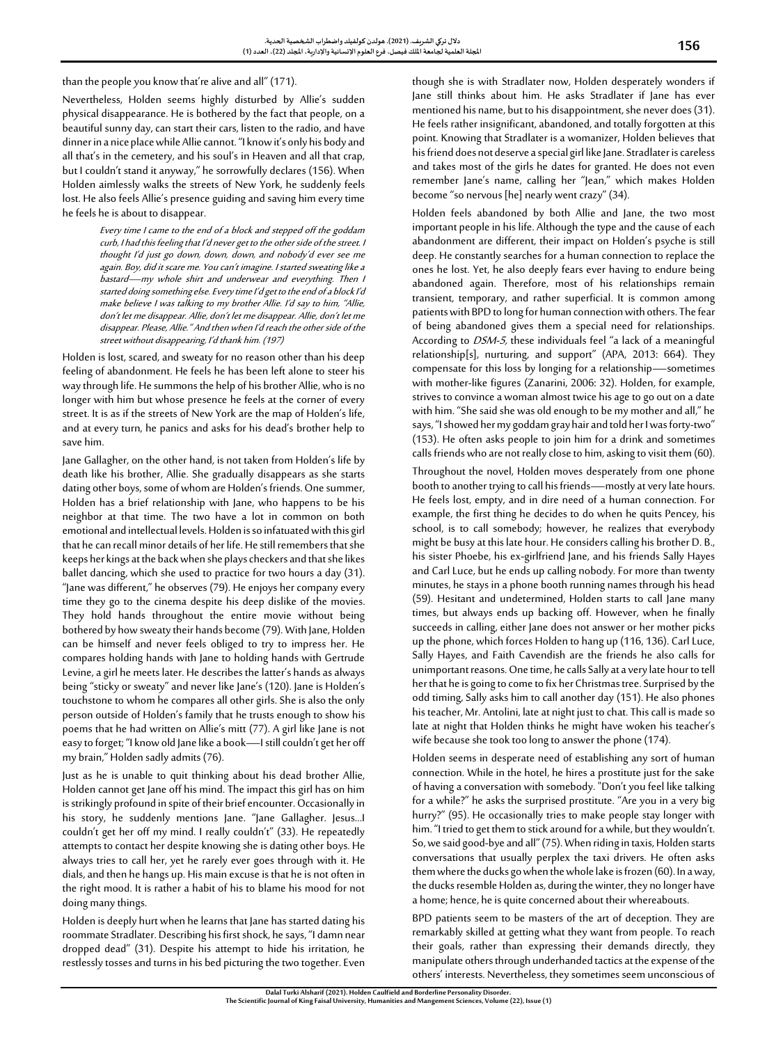than the people you know that're alive and all" (171).

Nevertheless, Holden seems highly disturbed by Allie's sudden physical disappearance. He is bothered by the fact that people, on a beautiful sunny day, can start their cars, listen to the radio, and have dinner in a nice place while Allie cannot. "I know it's only his body and all that's in the cemetery, and his soul's in Heaven and all that crap, but I couldn't stand it anyway," he sorrowfully declares (156). When Holden aimlessly walks the streets of New York, he suddenly feels lost. He also feels Allie's presence guiding and saving him every time he feels he is about to disappear.

> Every time I came to the end of a block and stepped off the goddam curb, I had this feeling that I'd never get to the other side of the street. I thought I'd just go down, down, down, and nobody'd ever see me again. Boy, did it scare me. You can't imagine. I started sweating like a bastard—my whole shirt and underwear and everything. Then I started doing something else. Every time I'd get to the end of a block I'd make believe I was talking to my brother Allie. I'd say to him, "Allie, don't let me disappear. Allie, don't let me disappear. Allie, don't let me disappear. Please, Allie." And then when I'd reach the other side of the street without disappearing, I'd thank him. (197)

Holden is lost, scared, and sweaty for no reason other than his deep feeling of abandonment. He feels he has been left alone to steer his way through life. He summons the help of his brother Allie, who is no longer with him but whose presence he feels at the corner of every street. It is as if the streets of New York are the map of Holden's life, and at every turn, he panics and asks for his dead's brother help to save him.

Jane Gallagher, on the other hand, is not taken from Holden's life by death like his brother, Allie. She gradually disappears as she starts dating other boys, some of whom are Holden's friends. One summer, Holden has a brief relationship with Jane, who happens to be his neighbor at that time. The two have a lot in common on both emotional and intellectual levels. Holden is so infatuated with this girl that he can recall minor details of her life. He still remembers that she keeps her kings at the back when she plays checkers and that she likes ballet dancing, which she used to practice for two hours a day (31). "Jane was different," he observes (79). He enjoys her company every time they go to the cinema despite his deep dislike of the movies. They hold hands throughout the entire movie without being bothered by how sweaty their hands become (79). With Jane, Holden can be himself and never feels obliged to try to impress her. He compares holding hands with Jane to holding hands with Gertrude Levine, a girl he meets later. He describes the latter's hands as always being "sticky or sweaty" and never like Jane's (120). Jane is Holden's touchstone to whom he compares all other girls. She is also the only person outside of Holden's family that he trusts enough to show his poems that he had written on Allie's mitt (77). A girl like Jane is not easy to forget; "I know old Jane like a book—I still couldn't get her off my brain," Holden sadly admits (76).

Just as he is unable to quit thinking about his dead brother Allie, Holden cannot get Jane off his mind. The impact this girl has on him is strikingly profound in spite of their brief encounter. Occasionally in his story, he suddenly mentions Jane. "Jane Gallagher. Jesus...I couldn't get her off my mind. I really couldn't" (33). He repeatedly attempts to contact her despite knowing she is dating other boys. He always tries to call her, yet he rarely ever goes through with it. He dials, and then he hangs up. His main excuse is that he is not often in the right mood. It is rather a habit of his to blame his mood for not doing many things.

Holden is deeply hurt when he learns that Jane has started dating his roommate Stradlater. Describing his first shock, he says, "I damn near dropped dead" (31). Despite his attempt to hide his irritation, he restlessly tosses and turns in his bed picturing the two together. Even

though she is with Stradlater now, Holden desperately wonders if Jane still thinks about him. He asks Stradlater if Jane has ever mentioned his name, but to his disappointment, she never does (31). He feels rather insignificant, abandoned, and totally forgotten at this point. Knowing that Stradlater is a womanizer, Holden believes that his friend does not deserve a special girl like Jane. Stradlater is careless and takes most of the girls he dates for granted. He does not even remember Jane's name, calling her "Jean," which makes Holden become"so nervous [he] nearly went crazy" (34).

Holden feels abandoned by both Allie and Jane, the two most important people in his life. Although the type and the cause of each abandonment are different, their impact on Holden's psyche is still deep. He constantly searches for a human connection to replace the ones he lost. Yet, he also deeply fears ever having to endure being abandoned again. Therefore, most of his relationships remain transient, temporary, and rather superficial. It is common among patients with BPD to long for human connection with others. The fear of being abandoned gives them a special need for relationships. According to DSM-5, these individuals feel "a lack of a meaningful relationship[s], nurturing, and support" (APA, 2013: 664). They compensate for this loss by longing for a relationship—sometimes with mother-like figures (Zanarini, 2006: 32). Holden, for example, strives to convince a woman almost twice his age to go out on a date with him. "She said she was old enough to be my mother and all," he says, "I showed her my goddam gray hair and told her I was forty-two" (153). He often asks people to join him for a drink and sometimes calls friends who are not really close to him, asking to visit them (60).

Throughout the novel, Holden moves desperately from one phone booth to another trying to call his friends—mostly at very late hours. He feels lost, empty, and in dire need of a human connection. For example, the first thing he decides to do when he quits Pencey, his school, is to call somebody; however, he realizes that everybody might be busy at this late hour. He considers calling his brother D. B., his sister Phoebe, his ex-girlfriend Jane, and his friends Sally Hayes and Carl Luce, but he ends up calling nobody. For more than twenty minutes, he stays in a phone booth running names through his head (59). Hesitant and undetermined, Holden starts to call Jane many times, but always ends up backing off. However, when he finally succeeds in calling, either Jane does not answer or her mother picks up the phone, which forces Holden to hang up (116, 136). Carl Luce, Sally Hayes, and Faith Cavendish are the friends he also calls for unimportant reasons. One time, he calls Sally at a very late hour to tell her that he is going to come to fix her Christmas tree. Surprised by the odd timing, Sally asks him to call another day (151). He also phones his teacher, Mr. Antolini, late at night just to chat. This call is made so late at night that Holden thinks he might have woken his teacher's wife because she took too long to answer the phone (174).

Holden seems in desperate need of establishing any sort of human connection. While in the hotel, he hires a prostitute just for the sake of having a conversation with somebody. "Don't you feel like talking for a while?" he asks the surprised prostitute. "Are you in a very big hurry?" (95). He occasionally tries to make people stay longer with him. "I tried to get them to stick around for a while, but they wouldn't. So, we said good-bye and all" (75). When riding in taxis, Holden starts conversations that usually perplex the taxi drivers. He often asks them where the ducks go when the whole lake is frozen (60). In a way, the ducks resemble Holden as, during the winter, they no longer have a home; hence, he is quite concerned about their whereabouts.

BPD patients seem to be masters of the art of deception. They are remarkably skilled at getting what they want from people. To reach their goals, rather than expressing their demands directly, they manipulate others through underhanded tactics at the expense of the others' interests. Nevertheless, they sometimes seem unconscious of

**The Scientific Journal of King Faisal University, Humanitiesand MangementSciences, Volume (22), Issue (1)**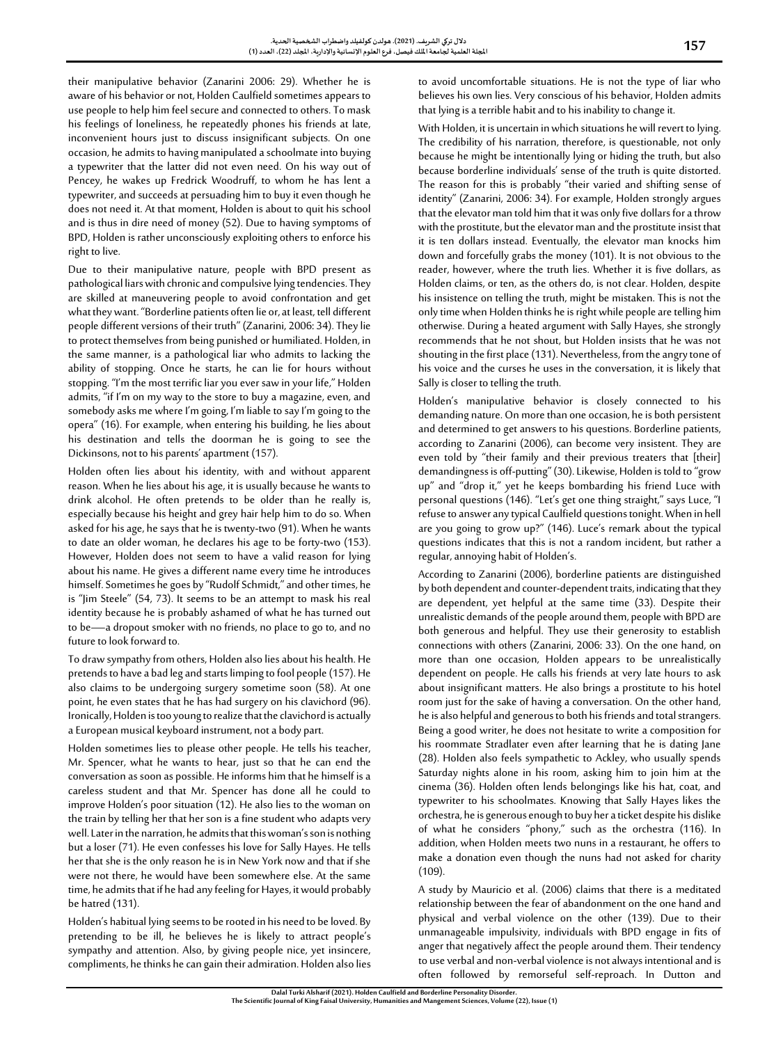their manipulative behavior (Zanarini 2006: 29). Whether he is aware of his behavior or not, Holden Caulfield sometimes appears to use people to help him feel secure and connected to others. To mask his feelings of loneliness, he repeatedly phones his friends at late, inconvenient hours just to discuss insignificant subjects. On one occasion, he admits to having manipulated a schoolmate into buying a typewriter that the latter did not even need. On his way out of Pencey, he wakes up Fredrick Woodruff, to whom he has lent a typewriter, and succeeds at persuading him to buy it even though he does not need it. At that moment, Holden is about to quit his school and is thus in dire need of money (52). Due to having symptoms of BPD, Holden is rather unconsciously exploiting others to enforce his right to live.

Due to their manipulative nature, people with BPD present as pathological liars with chronic and compulsive lying tendencies. They are skilled at maneuvering people to avoid confrontation and get what they want. "Borderline patients often lie or, at least, tell different people different versions of their truth" (Zanarini, 2006: 34). They lie to protect themselves from being punished or humiliated. Holden, in the same manner, is a pathological liar who admits to lacking the ability of stopping. Once he starts, he can lie for hours without stopping. "I'm the most terrific liar you ever saw in your life," Holden admits, "if I'm on my way to the store to buy a magazine, even, and somebody asks me where I'm going, I'm liable to say I'm going to the opera" (16). For example, when entering his building, he lies about his destination and tells the doorman he is going to see the Dickinsons, not to his parents' apartment (157).

Holden often lies about his identity, with and without apparent reason. When he lies about his age, it is usually because he wants to drink alcohol. He often pretends to be older than he really is, especially because his height and grey hair help him to do so. When asked for his age, he says that he is twenty-two (91). When he wants to date an older woman, he declares his age to be forty-two (153). However, Holden does not seem to have a valid reason for lying about his name. He gives a different name every time he introduces himself. Sometimes he goes by "Rudolf Schmidt," and other times, he is "Jim Steele" (54, 73). It seems to be an attempt to mask his real identity because he is probably ashamed of what he has turned out to be—a dropout smoker with no friends, no place to go to, and no future to look forward to.

To draw sympathy from others, Holden also lies about his health. He pretends to have a bad leg and starts limping to fool people (157). He also claims to be undergoing surgery sometime soon (58). At one point, he even states that he has had surgery on his clavichord (96). Ironically, Holden is too young to realize that the clavichord is actually a European musical keyboard instrument, not a body part.

Holden sometimes lies to please other people. He tells his teacher, Mr. Spencer, what he wants to hear, just so that he can end the conversation as soon as possible. He informs him that he himself is a careless student and that Mr. Spencer has done all he could to improve Holden's poor situation (12). He also lies to the woman on the train by telling her that her son is a fine student who adapts very well. Later in the narration, he admits that this woman's son is nothing but a loser (71). He even confesses his love for Sally Hayes. He tells her that she is the only reason he is in New York now and that if she were not there, he would have been somewhere else. At the same time, he admits that if he had any feeling for Hayes, it would probably be hatred (131).

Holden's habitual lying seems to be rooted in his need to be loved. By pretending to be ill, he believes he is likely to attract people's sympathy and attention. Also, by giving people nice, yet insincere, compliments, he thinks he can gain their admiration. Holden also lies to avoid uncomfortable situations. He is not the type of liar who believes his own lies. Very conscious of his behavior, Holden admits that lying is a terrible habit and to his inability to change it.

With Holden, it is uncertain in which situations he will revert to lying. The credibility of his narration, therefore, is questionable, not only because he might be intentionally lying or hiding the truth, but also because borderline individuals' sense of the truth is quite distorted. The reason for this is probably "their varied and shifting sense of identity" (Zanarini, 2006: 34). For example, Holden strongly argues that the elevator man told him that it was only five dollars for a throw with the prostitute, but the elevator man and the prostitute insist that it is ten dollars instead. Eventually, the elevator man knocks him down and forcefully grabs the money (101). It is not obvious to the reader, however, where the truth lies. Whether it is five dollars, as Holden claims, or ten, as the others do, is not clear. Holden, despite his insistence on telling the truth, might be mistaken. This is not the only time when Holden thinks he is right while people are telling him otherwise. During a heated argument with Sally Hayes, she strongly recommends that he not shout, but Holden insists that he was not shouting in the first place (131). Nevertheless, from the angry tone of his voice and the curses he uses in the conversation, it is likely that Sally is closer to telling the truth.

Holden's manipulative behavior is closely connected to his demanding nature. On more than one occasion, he is both persistent and determined to get answers to his questions. Borderline patients, according to Zanarini (2006), can become very insistent. They are even told by "their family and their previous treaters that [their] demandingness is off-putting" (30). Likewise, Holden is told to "grow up" and "drop it," yet he keeps bombarding his friend Luce with personal questions (146). "Let's get one thing straight," says Luce, "I refuse to answer any typical Caulfield questions tonight. When in hell are you going to grow up?" (146). Luce's remark about the typical questions indicates that this is not a random incident, but rather a regular, annoying habit of Holden's.

According to Zanarini (2006), borderline patients are distinguished by both dependent and counter-dependent traits, indicating that they are dependent, yet helpful at the same time (33). Despite their unrealistic demands of the people around them, people with BPD are both generous and helpful. They use their generosity to establish connections with others (Zanarini, 2006: 33). On the one hand, on more than one occasion, Holden appears to be unrealistically dependent on people. He calls his friends at very late hours to ask about insignificant matters. He also brings a prostitute to his hotel room just for the sake of having a conversation. On the other hand, he is also helpful and generous to both his friends and total strangers. Being a good writer, he does not hesitate to write a composition for his roommate Stradlater even after learning that he is dating Jane (28). Holden also feels sympathetic to Ackley, who usually spends Saturday nights alone in his room, asking him to join him at the cinema (36). Holden often lends belongings like his hat, coat, and typewriter to his schoolmates. Knowing that Sally Hayes likes the orchestra, he is generous enough to buy her a ticket despite his dislike of what he considers "phony," such as the orchestra (116). In addition, when Holden meets two nuns in a restaurant, he offers to make a donation even though the nuns had not asked for charity  $(109)$ .

A study by Mauricio et al. (2006) claims that there is a meditated relationship between the fear of abandonment on the one hand and physical and verbal violence on the other (139). Due to their unmanageable impulsivity, individuals with BPD engage in fits of anger that negatively affect the people around them. Their tendency to use verbal and non-verbal violence is not always intentional and is often followed by remorseful self-reproach. In Dutton and

**Dalal Turki Alsharif (2021). Holden Caulfield and Borderline Personality Disorder. The Scientific Journal of King Faisal University, Humanitiesand MangementSciences, Volume (22), Issue (1)**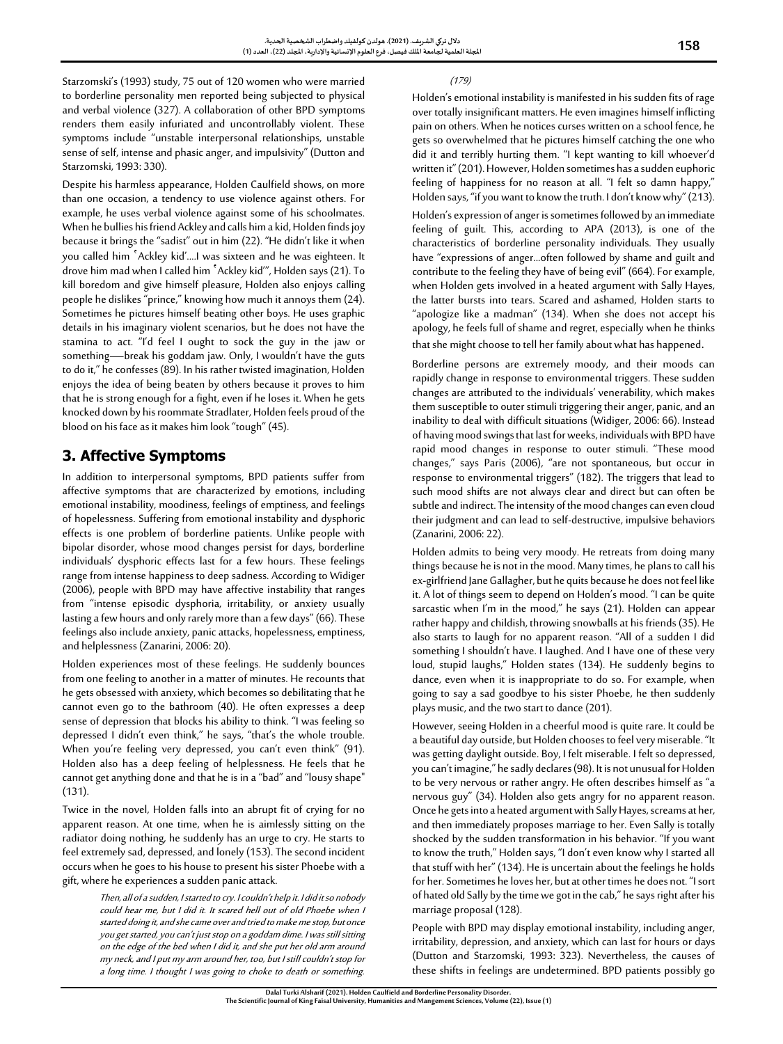Starzomski's (1993) study, 75 out of 120 women who were married to borderline personality men reported being subjected to physical and verbal violence (327). A collaboration of other BPD symptoms renders them easily infuriated and uncontrollably violent. These symptoms include "unstable interpersonal relationships, unstable sense of self, intense and phasic anger, and impulsivity" (Dutton and Starzomski, 1993: 330).

Despite his harmless appearance, Holden Caulfield shows, on more than one occasion, a tendency to use violence against others. For example, he uses verbal violence against some of his schoolmates. When he bullies his friend Ackley and calls him a kid, Holden finds joy because it brings the "sadist" out in him (22). "He didn't like it when you called him 'Ackley kid'.…I was sixteen and he was eighteen. It drove him mad when I called him 'Ackley kid'", Holden says (21). To kill boredom and give himself pleasure, Holden also enjoys calling people he dislikes "prince," knowing how much it annoys them (24). Sometimes he pictures himself beating other boys. He uses graphic details in his imaginary violent scenarios, but he does not have the stamina to act. "I'd feel I ought to sock the guy in the jaw or something—break his goddam jaw. Only, I wouldn't have the guts to do it," he confesses (89). In his rather twisted imagination, Holden enjoys the idea of being beaten by others because it proves to him that he is strong enough for a fight, even if he loses it. When he gets knocked down by his roommate Stradlater, Holden feels proud of the blood on his face as it makes him look "tough" (45).

# **3. Affective Symptoms**

In addition to interpersonal symptoms, BPD patients suffer from affective symptoms that are characterized by emotions, including emotional instability, moodiness, feelings of emptiness, and feelings of hopelessness. Suffering from emotional instability and dysphoric effects is one problem of borderline patients. Unlike people with bipolar disorder, whose mood changes persist for days, borderline individuals' dysphoric effects last for a few hours. These feelings range from intense happiness to deep sadness. According to Widiger (2006), people with BPD may have affective instability that ranges from "intense episodic dysphoria, irritability, or anxiety usually lasting a few hours and only rarely more than a few days" (66). These feelings also include anxiety, panic attacks, hopelessness, emptiness, and helplessness (Zanarini, 2006: 20).

Holden experiences most of these feelings. He suddenly bounces from one feeling to another in a matter of minutes. He recounts that he gets obsessed with anxiety, which becomes so debilitating that he cannot even go to the bathroom (40). He often expresses a deep sense of depression that blocks his ability to think. "I was feeling so depressed I didn't even think," he says, "that's the whole trouble. When you're feeling very depressed, you can't even think" (91). Holden also has a deep feeling of helplessness. He feels that he cannot get anything done and that he is in a "bad" and "lousy shape" (131).

Twice in the novel, Holden falls into an abrupt fit of crying for no apparent reason. At one time, when he is aimlessly sitting on the radiator doing nothing, he suddenly has an urge to cry. He starts to feel extremely sad, depressed, and lonely (153). The second incident occurs when he goes to his house to present his sister Phoebe with a gift, where he experiences a sudden panic attack.

> Then, all of a sudden, I started to cry. I couldn't help it. I did it so nobody could hear me, but I did it. It scared hell out of old Phoebe when I started doing it, and she came over and tried to make me stop, but once you get started, you can't just stop on a goddam dime. I was still sitting on the edge of the bed when I did it, and she put her old arm around my neck, and I put my arm around her, too, but I still couldn't stop for a long time. I thought I was going to choke to death or something.

(179)

Holden's emotional instability is manifested in his sudden fits of rage over totally insignificant matters. He even imagines himself inflicting pain on others. When he notices curses written on a school fence, he gets so overwhelmed that he pictures himself catching the one who did it and terribly hurting them. "I kept wanting to kill whoever'd written it" (201). However, Holden sometimes has a sudden euphoric feeling of happiness for no reason at all. "I felt so damn happy," Holden says, "if you want to know the truth. I don't know why" (213). Holden's expression of anger is sometimes followed by an immediate feeling of guilt. This, according to APA (2013), is one of the characteristics of borderline personality individuals. They usually have "expressions of anger...often followed by shame and guilt and contribute to the feeling they have of being evil" (664). For example, when Holden gets involved in a heated argument with Sally Hayes, the latter bursts into tears. Scared and ashamed, Holden starts to "apologize like a madman" (134). When she does not accept his apology, he feels full of shame and regret, especially when he thinks that she might choose to tell her family about what has happened.

Borderline persons are extremely moody, and their moods can rapidly change in response to environmental triggers. These sudden changes are attributed to the individuals' venerability, which makes them susceptible to outer stimuli triggering their anger, panic, and an inability to deal with difficult situations (Widiger, 2006: 66). Instead of having mood swings that last for weeks, individuals with BPD have rapid mood changes in response to outer stimuli. "These mood changes," says Paris (2006), "are not spontaneous, but occur in response to environmental triggers" (182). The triggers that lead to such mood shifts are not always clear and direct but can often be subtle and indirect. The intensity of the mood changes can even cloud their judgment and can lead to self-destructive, impulsive behaviors (Zanarini, 2006: 22).

Holden admits to being very moody. He retreats from doing many things because he is not in the mood. Many times, he plans to call his ex-girlfriend Jane Gallagher, but he quits because he does not feel like it. A lot of things seem to depend on Holden's mood. "I can be quite sarcastic when I'm in the mood," he says (21). Holden can appear rather happy and childish, throwing snowballs at his friends (35). He also starts to laugh for no apparent reason. "All of a sudden I did something I shouldn't have. I laughed. And I have one of these very loud, stupid laughs," Holden states (134). He suddenly begins to dance, even when it is inappropriate to do so. For example, when going to say a sad goodbye to his sister Phoebe, he then suddenly plays music, and the two start to dance (201).

However, seeing Holden in a cheerful mood is quite rare. It could be a beautiful day outside, but Holden chooses to feel very miserable. "It was getting daylight outside. Boy, I felt miserable. I felt so depressed, you can't imagine," he sadly declares (98). It is not unusual for Holden to be very nervous or rather angry. He often describes himself as "a nervous guy" (34). Holden also gets angry for no apparent reason. Once he gets into a heated argument with Sally Hayes, screams at her, and then immediately proposes marriage to her. Even Sally is totally shocked by the sudden transformation in his behavior. "If you want to know the truth," Holden says, "I don't even know why I started all that stuff with her" (134). He is uncertain about the feelings he holds for her. Sometimes he loves her, but at other times he does not. "I sort of hated old Sally by the time we got in the cab," he says right after his marriage proposal (128).

People with BPD may display emotional instability, including anger, irritability, depression, and anxiety, which can last for hours or days (Dutton and Starzomski, 1993: 323). Nevertheless, the causes of these shifts in feelings are undetermined. BPD patients possibly go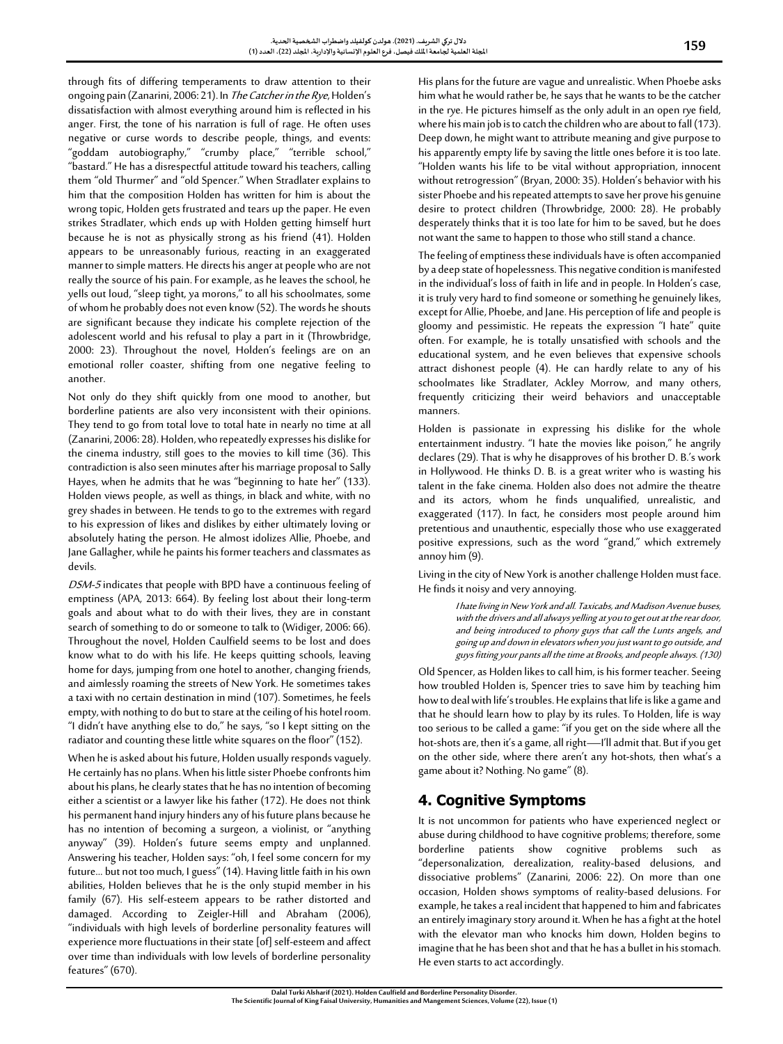through fits of differing temperaments to draw attention to their ongoing pain (Zanarini, 2006: 21). In The Catcher in the Rye, Holden's dissatisfaction with almost everything around him is reflected in his anger. First, the tone of his narration is full of rage. He often uses negative or curse words to describe people, things, and events: "goddam autobiography," "crumby place," "terrible school," "bastard." He has a disrespectful attitude toward his teachers, calling them "old Thurmer" and "old Spencer." When Stradlater explains to him that the composition Holden has written for him is about the wrong topic, Holden gets frustrated and tears up the paper. He even strikes Stradlater, which ends up with Holden getting himself hurt because he is not as physically strong as his friend (41). Holden appears to be unreasonably furious, reacting in an exaggerated manner to simple matters. He directs his anger at people who are not really the source of his pain. For example, as he leaves the school, he yells out loud, "sleep tight, ya morons," to all his schoolmates, some of whom he probably does not even know (52). The words he shouts are significant because they indicate his complete rejection of the adolescent world and his refusal to play a part in it (Throwbridge, 2000: 23). Throughout the novel, Holden's feelings are on an emotional roller coaster, shifting from one negative feeling to another.

Not only do they shift quickly from one mood to another, but borderline patients are also very inconsistent with their opinions. They tend to go from total love to total hate in nearly no time at all (Zanarini, 2006: 28). Holden, who repeatedly expresses his dislike for the cinema industry, still goes to the movies to kill time (36). This contradiction is also seen minutes after his marriage proposal to Sally Hayes, when he admits that he was "beginning to hate her" (133). Holden views people, as well as things, in black and white, with no grey shades in between. He tends to go to the extremes with regard to his expression of likes and dislikes by either ultimately loving or absolutely hating the person. He almost idolizes Allie, Phoebe, and Jane Gallagher, while he paints his former teachers and classmates as devils.

DSM-5 indicates that people with BPD have a continuous feeling of emptiness (APA, 2013: 664). By feeling lost about their long-term goals and about what to do with their lives, they are in constant search of something to do or someone to talk to (Widiger, 2006: 66). Throughout the novel, Holden Caulfield seems to be lost and does know what to do with his life. He keeps quitting schools, leaving home for days, jumping from one hotel to another, changing friends, and aimlessly roaming the streets of New York. He sometimes takes a taxi with no certain destination in mind (107). Sometimes, he feels empty, with nothing to do but to stare at the ceiling of his hotel room. "I didn't have anything else to do," he says, "so I kept sitting on the radiator and counting these little white squares on the floor" (152).

When he is asked about his future, Holden usually responds vaguely. He certainly has no plans.When his little sister Phoebe confronts him about his plans, he clearly states that he has no intention of becoming either a scientist or a lawyer like his father (172). He does not think his permanent hand injury hinders any of his future plans because he has no intention of becoming a surgeon, a violinist, or "anything anyway" (39). Holden's future seems empty and unplanned. Answering his teacher, Holden says: "oh, I feel some concern for my future… but not too much, I guess" (14). Having little faith in his own abilities, Holden believes that he is the only stupid member in his family (67). His self-esteem appears to be rather distorted and damaged. According to Zeigler-Hill and Abraham (2006), "individuals with high levels of borderline personality features will experience more fluctuations in their state [of] self-esteem and affect over time than individuals with low levels of borderline personality features" (670).

His plans for the future are vague and unrealistic. When Phoebe asks him what he would rather be, he says that he wants to be the catcher in the rye. He pictures himself as the only adult in an open rye field, where his main job is to catch the children who are about to fall (173). Deep down, he might want to attribute meaning and give purpose to his apparently empty life by saving the little ones before it is too late. "Holden wants his life to be vital without appropriation, innocent without retrogression" (Bryan, 2000: 35). Holden's behavior with his sister Phoebe and his repeated attempts to save her prove his genuine desire to protect children (Throwbridge, 2000: 28). He probably desperately thinks that it is too late for him to be saved, but he does not want the same to happen to those who still stand a chance.

The feeling of emptiness these individuals have is often accompanied by a deep state of hopelessness. This negative condition is manifested in the individual's loss of faith in life and in people. In Holden's case, it is truly very hard to find someone or something he genuinely likes, except for Allie, Phoebe, and Jane. His perception of life and people is gloomy and pessimistic. He repeats the expression "I hate" quite often. For example, he is totally unsatisfied with schools and the educational system, and he even believes that expensive schools attract dishonest people (4). He can hardly relate to any of his schoolmates like Stradlater, Ackley Morrow, and many others, frequently criticizing their weird behaviors and unacceptable manners.

Holden is passionate in expressing his dislike for the whole entertainment industry. "I hate the movies like poison," he angrily declares (29). That is why he disapproves of his brother D. B.'s work in Hollywood. He thinks D. B. is a great writer who is wasting his talent in the fake cinema. Holden also does not admire the theatre and its actors, whom he finds unqualified, unrealistic, and exaggerated (117). In fact, he considers most people around him pretentious and unauthentic, especially those who use exaggerated positive expressions, such as the word "grand," which extremely annoy him (9).

Living in the city of New York is another challenge Holden must face. He finds it noisy and very annoying.

> I hate living in New York and all. Taxicabs, and Madison Avenue buses, with the drivers and all always yelling at you to get out at the rear door, and being introduced to phony guys that call the Lunts angels, and going up and down in elevators when you just want to go outside, and guys fitting your pants all the time at Brooks, and people always. (130)

Old Spencer, as Holden likes to call him, is his former teacher. Seeing how troubled Holden is, Spencer tries to save him by teaching him how to deal with life's troubles. He explains that life is like a game and that he should learn how to play by its rules. To Holden, life is way too serious to be called a game: "if you get on the side where all the hot-shots are, then it's a game, all right—I'll admit that. But if you get on the other side, where there aren't any hot-shots, then what's a game about it? Nothing. No game" (8).

### **4. Cognitive Symptoms**

It is not uncommon for patients who have experienced neglect or abuse during childhood to have cognitive problems; therefore, some borderline patients show cognitive problems such as "depersonalization, derealization, reality-based delusions, and dissociative problems" (Zanarini, 2006: 22). On more than one occasion, Holden shows symptoms of reality-based delusions. For example, he takes a real incident that happened to him and fabricates an entirely imaginary story around it. When he has a fight at the hotel with the elevator man who knocks him down, Holden begins to imagine that he has been shot and that he has a bullet in his stomach. He even starts to act accordingly.

**Dalal Turki Alsharif (2021). Holden Caulfield and Borderline Personality Disorder. The Scientific Journal of King Faisal University, Humanitiesand MangementSciences, Volume (22), Issue (1)**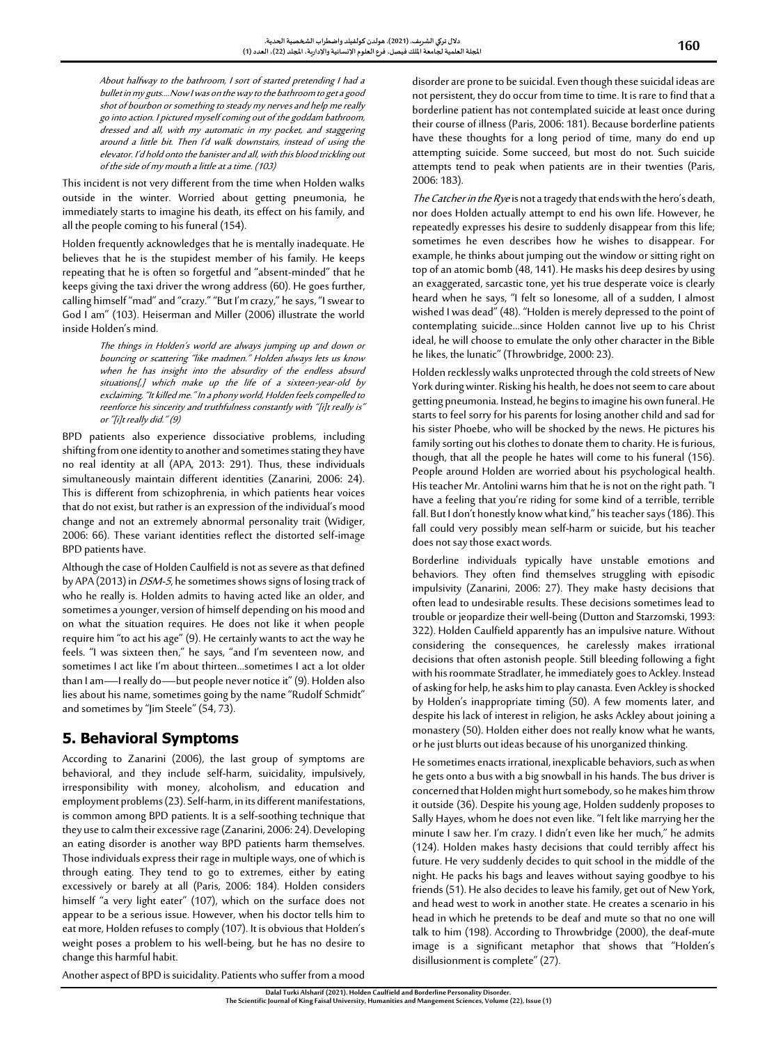About halfway to the bathroom, I sort of started pretending I had a bullet in my guts.…Now I was on the way to the bathroom to get a good shot of bourbon or something to steady my nerves and help me really go into action. I pictured myself coming out of the goddam bathroom, dressed and all, with my automatic in my pocket, and staggering around a little bit. Then I'd walk downstairs, instead of using the elevator. I'd hold onto the banister and all, with this blood trickling out of the side of my mouth a little at a time. (103)

This incident is not very different from the time when Holden walks outside in the winter. Worried about getting pneumonia, he immediately starts to imagine his death, its effect on his family, and all the people coming to his funeral (154).

Holden frequently acknowledges that he is mentally inadequate. He believes that he is the stupidest member of his family. He keeps repeating that he is often so forgetful and "absent-minded" that he keeps giving the taxi driver the wrong address (60). He goes further, calling himself "mad" and "crazy." "But I'm crazy," he says, "I swear to God I am" (103). Heiserman and Miller (2006) illustrate the world inside Holden's mind.

> The things in Holden's world are always jumping up and down or bouncing or scattering "like madmen." Holden always lets us know when he has insight into the absurdity of the endless absurd situations[,] which make up the life of a sixteen-year-old by exclaiming, "It killed me." In a phony world, Holden feels compelled to reenforce his sincerity and truthfulness constantly with "[i]t really is" or "[i]t really did." (9)

BPD patients also experience dissociative problems, including shifting from one identity to another and sometimes stating they have no real identity at all (APA, 2013: 291). Thus, these individuals simultaneously maintain different identities (Zanarini, 2006: 24). This is different from schizophrenia, in which patients hear voices that do not exist, but rather is an expression of the individual's mood change and not an extremely abnormal personality trait (Widiger, 2006: 66). These variant identities reflect the distorted self-image BPD patients have.

Although the case of Holden Caulfield is not as severe as that defined by APA (2013) in DSM-5, he sometimes shows signs of losing track of who he really is. Holden admits to having acted like an older, and sometimes a younger, version of himself depending on his mood and on what the situation requires. He does not like it when people require him "to act his age" (9). He certainly wants to act the way he feels. "I was sixteen then," he says, "and I'm seventeen now, and sometimes I act like I'm about thirteen…sometimes I act a lot older than I am—I really do—but people never notice it" (9). Holden also lies about his name, sometimes going by the name "Rudolf Schmidt" and sometimes by "Jim Steele" (54, 73).

# **5. Behavioral Symptoms**

According to Zanarini (2006), the last group of symptoms are behavioral, and they include self-harm, suicidality, impulsively, irresponsibility with money, alcoholism, and education and employment problems (23). Self-harm, in its different manifestations, is common among BPD patients. It is a self-soothing technique that they use to calm their excessive rage (Zanarini, 2006: 24). Developing an eating disorder is another way BPD patients harm themselves. Those individuals express their rage in multiple ways, one of which is through eating. They tend to go to extremes, either by eating excessively or barely at all (Paris, 2006: 184). Holden considers himself "a very light eater" (107), which on the surface does not appear to be a serious issue. However, when his doctor tells him to eat more, Holden refuses to comply (107). It is obvious that Holden's weight poses a problem to his well-being, but he has no desire to change this harmful habit.

disorder are prone to be suicidal. Even though these suicidal ideas are not persistent, they do occur from time to time. It is rare to find that a borderline patient has not contemplated suicide at least once during their course of illness (Paris, 2006: 181). Because borderline patients have these thoughts for a long period of time, many do end up attempting suicide. Some succeed, but most do not. Such suicide attempts tend to peak when patients are in their twenties (Paris, 2006: 183).

The Catcher in the Rye is not a tragedy that ends with the hero's death, nor does Holden actually attempt to end his own life. However, he repeatedly expresses his desire to suddenly disappear from this life; sometimes he even describes how he wishes to disappear. For example, he thinks about jumping out the window or sitting right on top of an atomic bomb (48, 141). He masks his deep desires by using an exaggerated, sarcastic tone, yet his true desperate voice is clearly heard when he says, "I felt so lonesome, all of a sudden, I almost wished I was dead" (48). "Holden is merely depressed to the point of contemplating suicide…since Holden cannot live up to his Christ ideal, he will choose to emulate the only other character in the Bible he likes, the lunatic" (Throwbridge, 2000: 23).

Holden recklessly walks unprotected through the cold streets of New York during winter. Risking his health, he does not seem to care about getting pneumonia. Instead, he begins to imagine his own funeral. He starts to feel sorry for his parents for losing another child and sad for his sister Phoebe, who will be shocked by the news. He pictures his family sorting out his clothes to donate them to charity. He is furious, though, that all the people he hates will come to his funeral (156). People around Holden are worried about his psychological health. His teacher Mr. Antolini warns him that he is not on the right path. "I have a feeling that you're riding for some kind of a terrible, terrible fall. But I don't honestly know what kind," his teacher says (186). This fall could very possibly mean self-harm or suicide, but his teacher does not say those exact words.

Borderline individuals typically have unstable emotions and behaviors. They often find themselves struggling with episodic impulsivity (Zanarini, 2006: 27). They make hasty decisions that often lead to undesirable results. These decisions sometimes lead to trouble or jeopardize their well-being (Dutton and Starzomski, 1993: 322). Holden Caulfield apparently has an impulsive nature. Without considering the consequences, he carelessly makes irrational decisions that often astonish people. Still bleeding following a fight with his roommate Stradlater, he immediately goes to Ackley. Instead of asking for help, he asks him to play canasta. Even Ackley is shocked by Holden's inappropriate timing (50). A few moments later, and despite his lack of interest in religion, he asks Ackley about joining a monastery (50). Holden either does not really know what he wants, or he just blurts out ideas because of his unorganized thinking.

He sometimes enacts irrational, inexplicable behaviors, such as when he gets onto a bus with a big snowball in his hands. The bus driver is concerned that Holden might hurt somebody, so he makes him throw it outside (36). Despite his young age, Holden suddenly proposes to Sally Hayes, whom he does not even like. "I felt like marrying her the minute I saw her. I'm crazy. I didn't even like her much," he admits (124). Holden makes hasty decisions that could terribly affect his future. He very suddenly decides to quit school in the middle of the night. He packs his bags and leaves without saying goodbye to his friends (51). He also decides to leave his family, get out of New York, and head west to work in another state. He creates a scenario in his head in which he pretends to be deaf and mute so that no one will talk to him (198). According to Throwbridge (2000), the deaf-mute image is a significant metaphor that shows that "Holden's disillusionment is complete" (27).

Another aspect of BPD is suicidality. Patients who suffer from a mood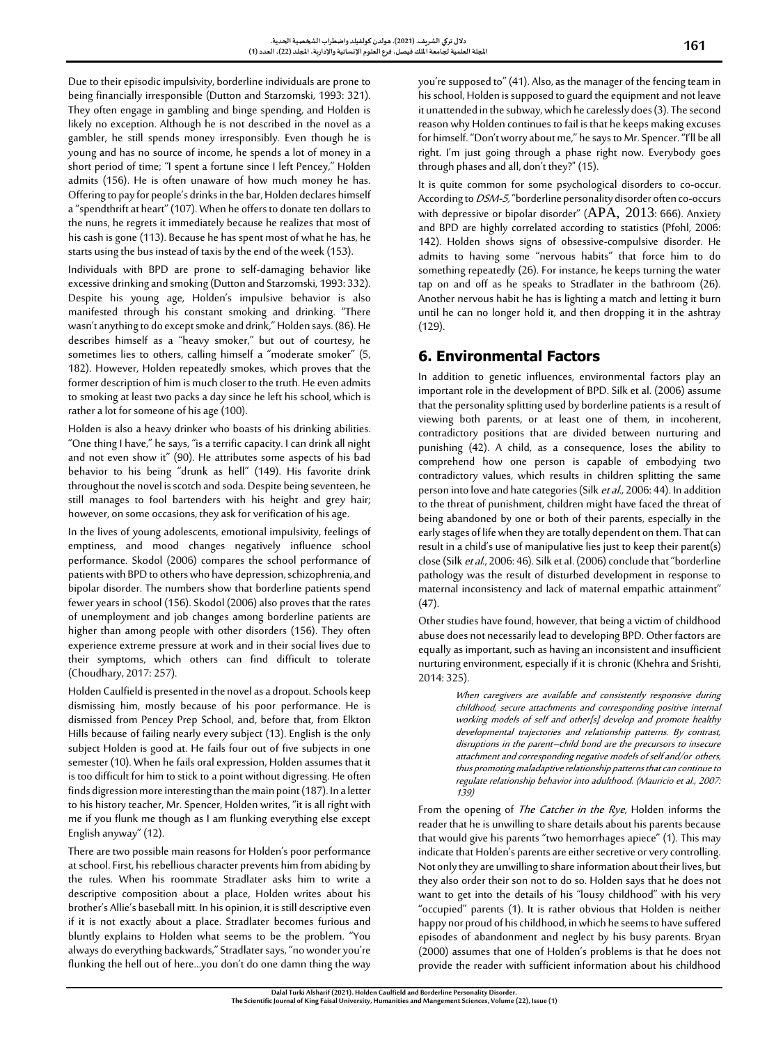Due to their episodic impulsivity, borderline individuals are prone to being financially irresponsible (Dutton and Starzomski, 1993: 321). They often engage in gambling and binge spending, and Holden is likely no exception. Although he is not described in the novel as a gambler, he still spends money irresponsibly. Even though he is young and has no source of income, he spends a lot of money in a short period of time; "I spent a fortune since I left Pencey," Holden admits (156). He is often unaware of how much money he has. Offering to pay for people's drinks in the bar, Holden declares himself a "spendthrift at heart" (107). When he offers to donate ten dollars to the nuns, he regrets it immediately because he realizes that most of his cash is gone (113). Because he has spent most of what he has, he starts using the bus instead of taxis by the end of the week (153).

Individuals with BPD are prone to self-damaging behavior like excessive drinking and smoking (Dutton and Starzomski, 1993: 332). Despite his young age, Holden's impulsive behavior is also manifested through his constant smoking and drinking. "There wasn't anything to do except smoke and drink," Holden says. (86). He describes himself as a "heavy smoker," but out of courtesy, he sometimes lies to others, calling himself a "moderate smoker" (5, 182). However, Holden repeatedly smokes, which proves that the former description of him is much closer to the truth. He even admits to smoking at least two packs a day since he left his school, which is rather a lot for someone of his age (100).

Holden is also a heavy drinker who boasts of his drinking abilities. "One thing I have," he says, "is a terrific capacity. I can drink all night and not even show it" (90). He attributes some aspects of his bad behavior to his being "drunk as hell" (149). His favorite drink throughout the novel is scotch and soda. Despite being seventeen, he still manages to fool bartenders with his height and grey hair; however, on some occasions, they ask for verification of his age.

In the lives of young adolescents, emotional impulsivity, feelings of emptiness, and mood changes negatively influence school performance. Skodol (2006) compares the school performance of patients with BPD to others who have depression, schizophrenia, and bipolar disorder. The numbers show that borderline patients spend fewer years in school (156). Skodol (2006) also proves that the rates of unemployment and job changes among borderline patients are higher than among people with other disorders (156). They often experience extreme pressure at work and in their social lives due to their symptoms, which others can find difficult to tolerate (Choudhary, 2017: 257).

Holden Caulfield is presented in the novel as a dropout. Schools keep dismissing him, mostly because of his poor performance. He is dismissed from Pencey Prep School, and, before that, from Elkton Hills because of failing nearly every subject (13). English is the only subject Holden is good at. He fails four out of five subjects in one semester (10). When he fails oral expression, Holden assumes that it is too difficult for him to stick to a point without digressing. He often finds digression more interesting than the main point (187). In a letter to his history teacher, Mr. Spencer, Holden writes, "it is all right with me if you flunk me though as I am flunking everything else except English anyway" (12).

There are two possible main reasons for Holden's poor performance at school. First, his rebellious character prevents him from abiding by the rules. When his roommate Stradlater asks him to write a descriptive composition about a place, Holden writes about his brother's Allie's baseball mitt. In his opinion, it is still descriptive even if it is not exactly about a place. Stradlater becomes furious and bluntly explains to Holden what seems to be the problem. "You always do everything backwards," Stradlater says, "no wonder you're flunking the hell out of here...you don't do one damn thing the way you're supposed to" (41). Also, as the manager of the fencing team in his school, Holden is supposed to guard the equipment and not leave it unattended in the subway, which he carelessly does (3). The second reason why Holden continues to fail is that he keeps making excuses for himself. "Don't worry about me," he says to Mr. Spencer. "I'll be all right. I'm just going through a phase right now. Everybody goes through phases and all, don't they?" (15).

It is quite common for some psychological disorders to co-occur. According to *DSM-5*, "borderline personality disorder often co-occurs with depressive or bipolar disorder" (APA, 2013: 666). Anxiety and BPD are highly correlated according to statistics (Pfohl, 2006: 142). Holden shows signs of obsessive-compulsive disorder. He admits to having some "nervous habits" that force him to do something repeatedly (26). For instance, he keeps turning the water tap on and off as he speaks to Stradlater in the bathroom (26). Another nervous habit he has is lighting a match and letting it burn until he can no longer hold it, and then dropping it in the ashtray (129).

# **6. Environmental Factors**

In addition to genetic influences, environmental factors play an important role in the development of BPD. Silk et al. (2006) assume that the personality splitting used by borderline patients is a result of viewing both parents, or at least one of them, in incoherent, contradictory positions that are divided between nurturing and punishing (42). A child, as a consequence, loses the ability to comprehend how one person is capable of embodying two contradictory values, which results in children splitting the same person into love and hate categories (Silk et al., 2006: 44). In addition to the threat of punishment, children might have faced the threat of being abandoned by one or both of their parents, especially in the early stages of life when they are totally dependent on them. That can result in achild's use of manipulative lies just to keep their parent(s) close (Silk et al., 2006: 46). Silk et al. (2006) conclude that "borderline pathology was the result of disturbed development in response to maternal inconsistency and lack of maternal empathic attainment" (47).

Other studies have found, however, that being a victim of childhood abuse does not necessarily lead to developing BPD. Other factors are equally as important, such as having an inconsistent and insufficient nurturing environment, especially if it is chronic (Khehra and Srishti, 2014: 325).

> When caregivers are available and consistently responsive during childhood, secure attachments and corresponding positive internal working models of self and other[s] develop and promote healthy developmental trajectories and relationship patterns. By contrast, disruptions in the parent–child bond are the precursors to insecure attachment and corresponding negative models of self and/or others, thus promoting maladaptive relationship patterns that can continue to regulate relationship behavior into adulthood. (Mauricio et al., 2007: 139)

From the opening of The Catcher in the Rye, Holden informs the reader that he is unwilling to share details about his parents because that would give his parents "two hemorrhages apiece" (1). This may indicate that Holden's parents are either secretive or very controlling. Not only they are unwilling to share information about their lives, but they also order their son not to do so. Holden says that he does not want to get into the details of his "lousy childhood" with his very "occupied" parents (1). It is rather obvious that Holden is neither happy nor proud of his childhood, in which he seems to have suffered episodes of abandonment and neglect by his busy parents. Bryan (2000) assumes that one of Holden's problems is that he does not provide the reader with sufficient information about his childhood